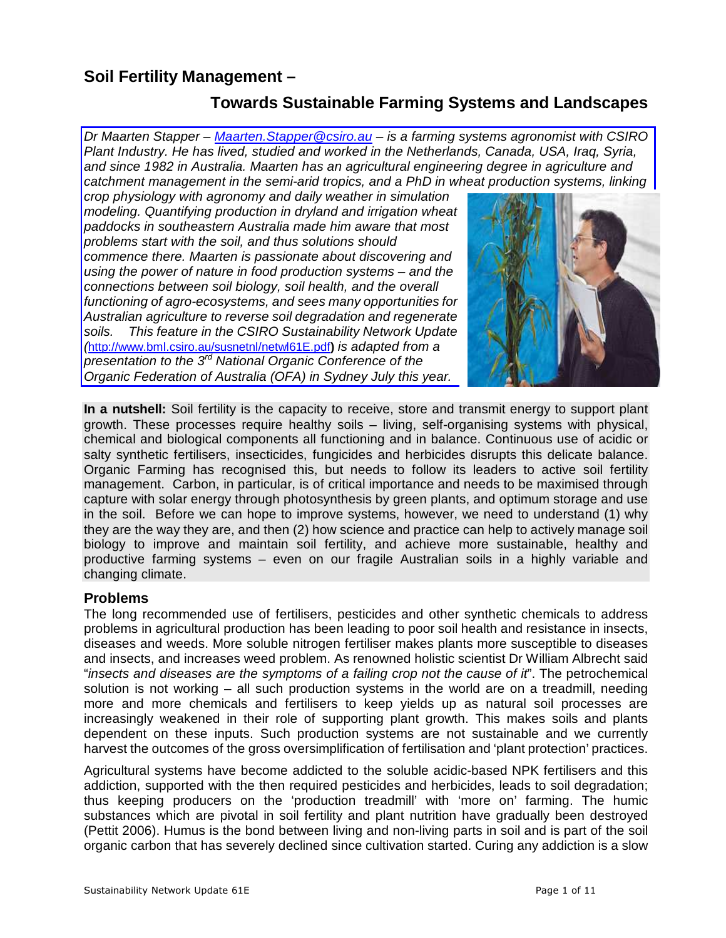# **Soil Fertility Management –**

# **Towards Sustainable Farming Systems and Landscapes**

Dr Maarten Stapper – Maarten. Stapper@csiro.au – is a farming systems agronomist with CSIRO Plant Industry. He has lived, studied and worked in the Netherlands, Canada, USA, Iraq, Syria, and since 1982 in Australia. Maarten has an agricultural engineering degree in agriculture and catchment management in the semi-arid tropics, and a PhD in wheat production systems, linking

crop physiology with agronomy and daily weather in simulation modeling. Quantifying production in dryland and irrigation wheat paddocks in southeastern Australia made him aware that most problems start with the soil, and thus solutions should commence there. Maarten is passionate about discovering and using the power of nature in food production systems – and the connections between soil biology, soil health, and the overall functioning of agro-ecosystems, and sees many opportunities for Australian agriculture to reverse soil degradation and regenerate soils. This feature in the CSIRO Sustainability Network Update (<http://www.bml.csiro.au/susnetnl/netwl61E.pdf>**)** is adapted from a presentation to the  $3<sup>rd</sup>$  National Organic Conference of the Organic Federation of Australia (OFA) in Sydney July this year.



**In a nutshell:** Soil fertility is the capacity to receive, store and transmit energy to support plant growth. These processes require healthy soils – living, self-organising systems with physical, chemical and biological components all functioning and in balance. Continuous use of acidic or salty synthetic fertilisers, insecticides, fungicides and herbicides disrupts this delicate balance. Organic Farming has recognised this, but needs to follow its leaders to active soil fertility management. Carbon, in particular, is of critical importance and needs to be maximised through capture with solar energy through photosynthesis by green plants, and optimum storage and use in the soil. Before we can hope to improve systems, however, we need to understand (1) why they are the way they are, and then (2) how science and practice can help to actively manage soil biology to improve and maintain soil fertility, and achieve more sustainable, healthy and productive farming systems – even on our fragile Australian soils in a highly variable and changing climate.

## **Problems**

The long recommended use of fertilisers, pesticides and other synthetic chemicals to address problems in agricultural production has been leading to poor soil health and resistance in insects, diseases and weeds. More soluble nitrogen fertiliser makes plants more susceptible to diseases and insects, and increases weed problem. As renowned holistic scientist Dr William Albrecht said "insects and diseases are the symptoms of a failing crop not the cause of it". The petrochemical solution is not working – all such production systems in the world are on a treadmill, needing more and more chemicals and fertilisers to keep yields up as natural soil processes are increasingly weakened in their role of supporting plant growth. This makes soils and plants dependent on these inputs. Such production systems are not sustainable and we currently harvest the outcomes of the gross oversimplification of fertilisation and 'plant protection' practices.

Agricultural systems have become addicted to the soluble acidic-based NPK fertilisers and this addiction, supported with the then required pesticides and herbicides, leads to soil degradation; thus keeping producers on the 'production treadmill' with 'more on' farming. The humic substances which are pivotal in soil fertility and plant nutrition have gradually been destroyed (Pettit 2006). Humus is the bond between living and non-living parts in soil and is part of the soil organic carbon that has severely declined since cultivation started. Curing any addiction is a slow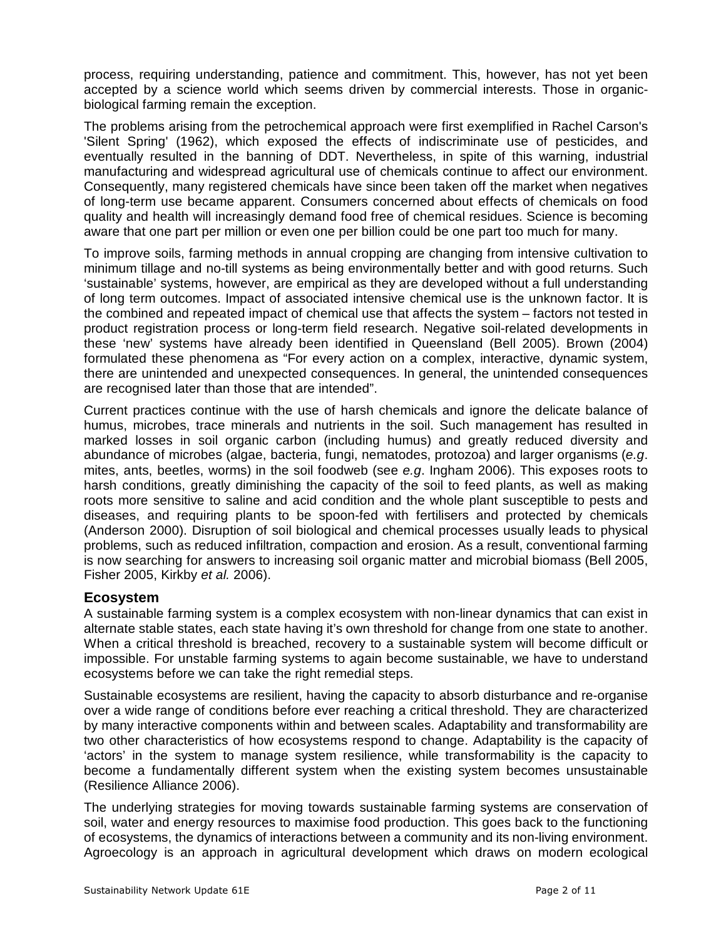process, requiring understanding, patience and commitment. This, however, has not yet been accepted by a science world which seems driven by commercial interests. Those in organicbiological farming remain the exception.

The problems arising from the petrochemical approach were first exemplified in Rachel Carson's 'Silent Spring' (1962), which exposed the effects of indiscriminate use of pesticides, and eventually resulted in the banning of DDT. Nevertheless, in spite of this warning, industrial manufacturing and widespread agricultural use of chemicals continue to affect our environment. Consequently, many registered chemicals have since been taken off the market when negatives of long-term use became apparent. Consumers concerned about effects of chemicals on food quality and health will increasingly demand food free of chemical residues. Science is becoming aware that one part per million or even one per billion could be one part too much for many.

To improve soils, farming methods in annual cropping are changing from intensive cultivation to minimum tillage and no-till systems as being environmentally better and with good returns. Such 'sustainable' systems, however, are empirical as they are developed without a full understanding of long term outcomes. Impact of associated intensive chemical use is the unknown factor. It is the combined and repeated impact of chemical use that affects the system – factors not tested in product registration process or long-term field research. Negative soil-related developments in these 'new' systems have already been identified in Queensland (Bell 2005). Brown (2004) formulated these phenomena as "For every action on a complex, interactive, dynamic system, there are unintended and unexpected consequences. In general, the unintended consequences are recognised later than those that are intended".

Current practices continue with the use of harsh chemicals and ignore the delicate balance of humus, microbes, trace minerals and nutrients in the soil. Such management has resulted in marked losses in soil organic carbon (including humus) and greatly reduced diversity and abundance of microbes (algae, bacteria, fungi, nematodes, protozoa) and larger organisms (e.g. mites, ants, beetles, worms) in the soil foodweb (see e.g. Ingham 2006). This exposes roots to harsh conditions, greatly diminishing the capacity of the soil to feed plants, as well as making roots more sensitive to saline and acid condition and the whole plant susceptible to pests and diseases, and requiring plants to be spoon-fed with fertilisers and protected by chemicals (Anderson 2000). Disruption of soil biological and chemical processes usually leads to physical problems, such as reduced infiltration, compaction and erosion. As a result, conventional farming is now searching for answers to increasing soil organic matter and microbial biomass (Bell 2005, Fisher 2005, Kirkby et al. 2006).

## **Ecosystem**

A sustainable farming system is a complex ecosystem with non-linear dynamics that can exist in alternate stable states, each state having it's own threshold for change from one state to another. When a critical threshold is breached, recovery to a sustainable system will become difficult or impossible. For unstable farming systems to again become sustainable, we have to understand ecosystems before we can take the right remedial steps.

Sustainable ecosystems are resilient, having the capacity to absorb disturbance and re-organise over a wide range of conditions before ever reaching a critical threshold. They are characterized by many interactive components within and between scales. Adaptability and transformability are two other characteristics of how ecosystems respond to change. Adaptability is the capacity of 'actors' in the system to manage system resilience, while transformability is the capacity to become a fundamentally different system when the existing system becomes unsustainable (Resilience Alliance 2006).

The underlying strategies for moving towards sustainable farming systems are conservation of soil, water and energy resources to maximise food production. This goes back to the functioning of ecosystems, the dynamics of interactions between a community and its non-living environment. Agroecology is an approach in agricultural development which draws on modern ecological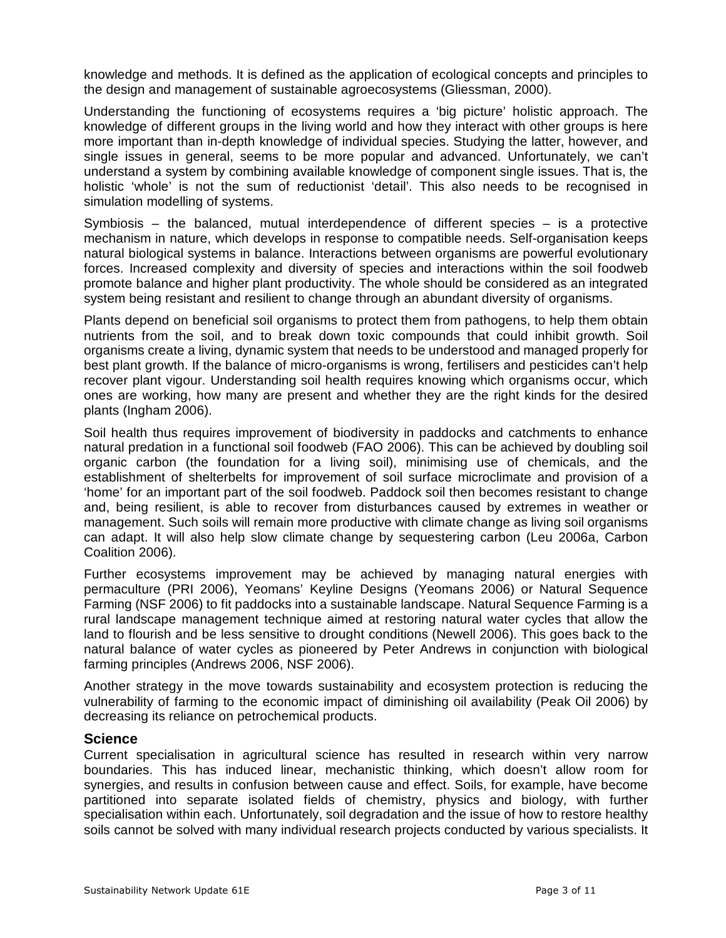knowledge and methods. It is defined as the application of ecological concepts and principles to the design and management of sustainable agroecosystems (Gliessman, 2000).

Understanding the functioning of ecosystems requires a 'big picture' holistic approach. The knowledge of different groups in the living world and how they interact with other groups is here more important than in-depth knowledge of individual species. Studying the latter, however, and single issues in general, seems to be more popular and advanced. Unfortunately, we can't understand a system by combining available knowledge of component single issues. That is, the holistic 'whole' is not the sum of reductionist 'detail'. This also needs to be recognised in simulation modelling of systems.

Symbiosis  $-$  the balanced, mutual interdependence of different species  $-$  is a protective mechanism in nature, which develops in response to compatible needs. Self-organisation keeps natural biological systems in balance. Interactions between organisms are powerful evolutionary forces. Increased complexity and diversity of species and interactions within the soil foodweb promote balance and higher plant productivity. The whole should be considered as an integrated system being resistant and resilient to change through an abundant diversity of organisms.

Plants depend on beneficial soil organisms to protect them from pathogens, to help them obtain nutrients from the soil, and to break down toxic compounds that could inhibit growth. Soil organisms create a living, dynamic system that needs to be understood and managed properly for best plant growth. If the balance of micro-organisms is wrong, fertilisers and pesticides can't help recover plant vigour. Understanding soil health requires knowing which organisms occur, which ones are working, how many are present and whether they are the right kinds for the desired plants (Ingham 2006).

Soil health thus requires improvement of biodiversity in paddocks and catchments to enhance natural predation in a functional soil foodweb (FAO 2006). This can be achieved by doubling soil organic carbon (the foundation for a living soil), minimising use of chemicals, and the establishment of shelterbelts for improvement of soil surface microclimate and provision of a 'home' for an important part of the soil foodweb. Paddock soil then becomes resistant to change and, being resilient, is able to recover from disturbances caused by extremes in weather or management. Such soils will remain more productive with climate change as living soil organisms can adapt. It will also help slow climate change by sequestering carbon (Leu 2006a, Carbon Coalition 2006).

Further ecosystems improvement may be achieved by managing natural energies with permaculture (PRI 2006), Yeomans' Keyline Designs (Yeomans 2006) or Natural Sequence Farming (NSF 2006) to fit paddocks into a sustainable landscape. Natural Sequence Farming is a rural landscape management technique aimed at restoring natural water cycles that allow the land to flourish and be less sensitive to drought conditions (Newell 2006). This goes back to the natural balance of water cycles as pioneered by Peter Andrews in conjunction with biological farming principles (Andrews 2006, NSF 2006).

Another strategy in the move towards sustainability and ecosystem protection is reducing the vulnerability of farming to the economic impact of diminishing oil availability (Peak Oil 2006) by decreasing its reliance on petrochemical products.

#### **Science**

Current specialisation in agricultural science has resulted in research within very narrow boundaries. This has induced linear, mechanistic thinking, which doesn't allow room for synergies, and results in confusion between cause and effect. Soils, for example, have become partitioned into separate isolated fields of chemistry, physics and biology, with further specialisation within each. Unfortunately, soil degradation and the issue of how to restore healthy soils cannot be solved with many individual research projects conducted by various specialists. It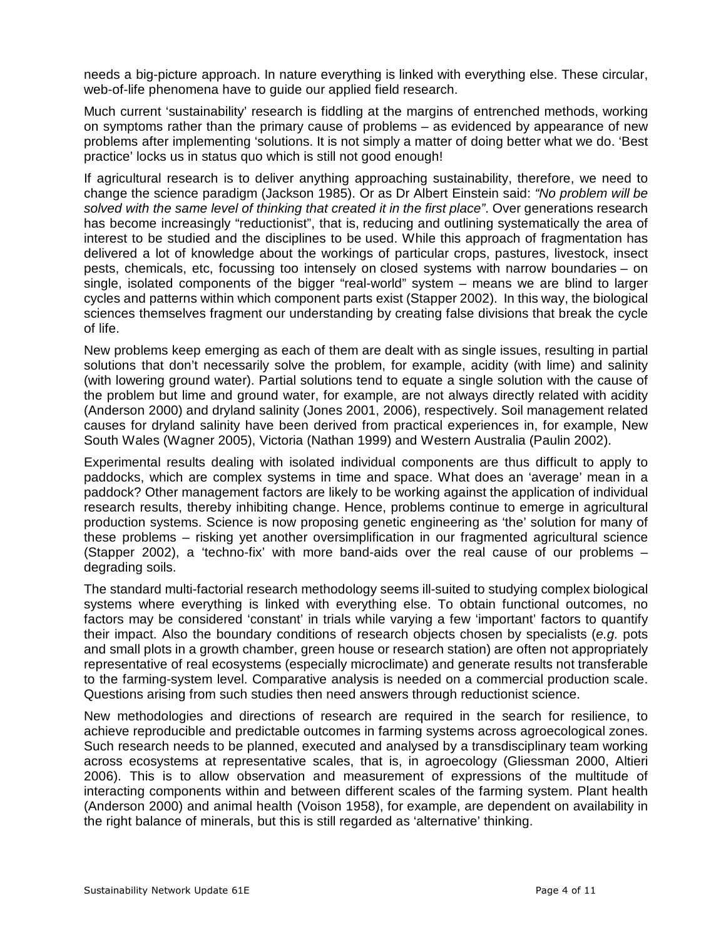needs a big-picture approach. In nature everything is linked with everything else. These circular, web-of-life phenomena have to guide our applied field research.

Much current 'sustainability' research is fiddling at the margins of entrenched methods, working on symptoms rather than the primary cause of problems – as evidenced by appearance of new problems after implementing 'solutions. It is not simply a matter of doing better what we do. 'Best practice' locks us in status quo which is still not good enough!

If agricultural research is to deliver anything approaching sustainability, therefore, we need to change the science paradigm (Jackson 1985). Or as Dr Albert Einstein said: "No problem will be solved with the same level of thinking that created it in the first place". Over generations research has become increasingly "reductionist", that is, reducing and outlining systematically the area of interest to be studied and the disciplines to be used. While this approach of fragmentation has delivered a lot of knowledge about the workings of particular crops, pastures, livestock, insect pests, chemicals, etc, focussing too intensely on closed systems with narrow boundaries – on single, isolated components of the bigger "real-world" system – means we are blind to larger cycles and patterns within which component parts exist (Stapper 2002). In this way, the biological sciences themselves fragment our understanding by creating false divisions that break the cycle of life.

New problems keep emerging as each of them are dealt with as single issues, resulting in partial solutions that don't necessarily solve the problem, for example, acidity (with lime) and salinity (with lowering ground water). Partial solutions tend to equate a single solution with the cause of the problem but lime and ground water, for example, are not always directly related with acidity (Anderson 2000) and dryland salinity (Jones 2001, 2006), respectively. Soil management related causes for dryland salinity have been derived from practical experiences in, for example, New South Wales (Wagner 2005), Victoria (Nathan 1999) and Western Australia (Paulin 2002).

Experimental results dealing with isolated individual components are thus difficult to apply to paddocks, which are complex systems in time and space. What does an 'average' mean in a paddock? Other management factors are likely to be working against the application of individual research results, thereby inhibiting change. Hence, problems continue to emerge in agricultural production systems. Science is now proposing genetic engineering as 'the' solution for many of these problems – risking yet another oversimplification in our fragmented agricultural science (Stapper 2002), a 'techno-fix' with more band-aids over the real cause of our problems – degrading soils.

The standard multi-factorial research methodology seems ill-suited to studying complex biological systems where everything is linked with everything else. To obtain functional outcomes, no factors may be considered 'constant' in trials while varying a few 'important' factors to quantify their impact. Also the boundary conditions of research objects chosen by specialists (e.g. pots and small plots in a growth chamber, green house or research station) are often not appropriately representative of real ecosystems (especially microclimate) and generate results not transferable to the farming-system level. Comparative analysis is needed on a commercial production scale. Questions arising from such studies then need answers through reductionist science.

New methodologies and directions of research are required in the search for resilience, to achieve reproducible and predictable outcomes in farming systems across agroecological zones. Such research needs to be planned, executed and analysed by a transdisciplinary team working across ecosystems at representative scales, that is, in agroecology (Gliessman 2000, Altieri 2006). This is to allow observation and measurement of expressions of the multitude of interacting components within and between different scales of the farming system. Plant health (Anderson 2000) and animal health (Voison 1958), for example, are dependent on availability in the right balance of minerals, but this is still regarded as 'alternative' thinking.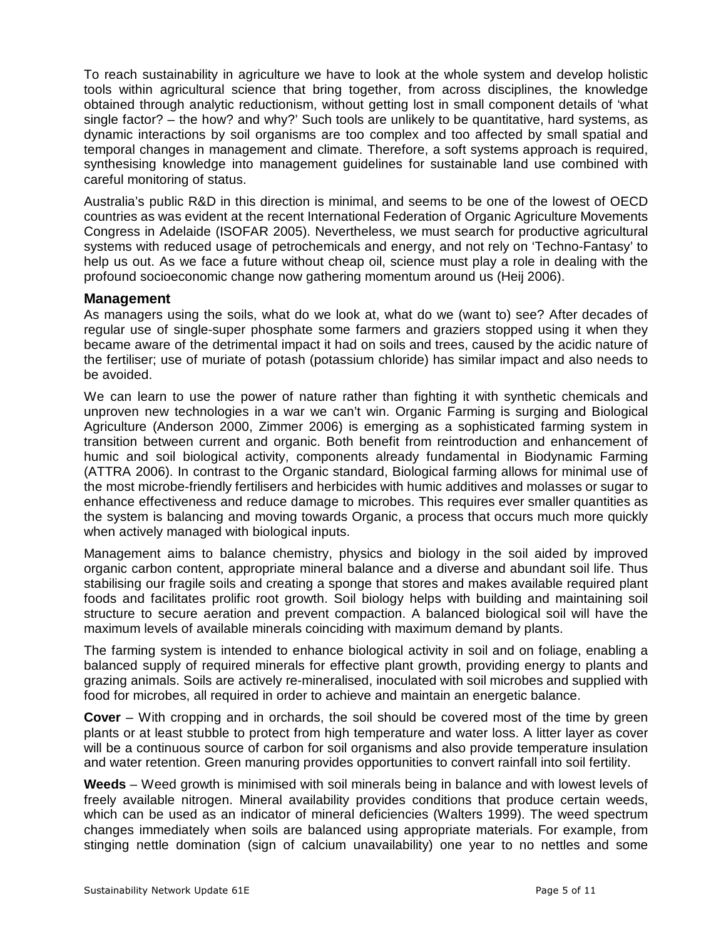To reach sustainability in agriculture we have to look at the whole system and develop holistic tools within agricultural science that bring together, from across disciplines, the knowledge obtained through analytic reductionism, without getting lost in small component details of 'what single factor? – the how? and why?' Such tools are unlikely to be quantitative, hard systems, as dynamic interactions by soil organisms are too complex and too affected by small spatial and temporal changes in management and climate. Therefore, a soft systems approach is required, synthesising knowledge into management guidelines for sustainable land use combined with careful monitoring of status.

Australia's public R&D in this direction is minimal, and seems to be one of the lowest of OECD countries as was evident at the recent International Federation of Organic Agriculture Movements Congress in Adelaide (ISOFAR 2005). Nevertheless, we must search for productive agricultural systems with reduced usage of petrochemicals and energy, and not rely on 'Techno-Fantasy' to help us out. As we face a future without cheap oil, science must play a role in dealing with the profound socioeconomic change now gathering momentum around us (Heij 2006).

### **Management**

As managers using the soils, what do we look at, what do we (want to) see? After decades of regular use of single-super phosphate some farmers and graziers stopped using it when they became aware of the detrimental impact it had on soils and trees, caused by the acidic nature of the fertiliser; use of muriate of potash (potassium chloride) has similar impact and also needs to be avoided.

We can learn to use the power of nature rather than fighting it with synthetic chemicals and unproven new technologies in a war we can't win. Organic Farming is surging and Biological Agriculture (Anderson 2000, Zimmer 2006) is emerging as a sophisticated farming system in transition between current and organic. Both benefit from reintroduction and enhancement of humic and soil biological activity, components already fundamental in Biodynamic Farming (ATTRA 2006). In contrast to the Organic standard, Biological farming allows for minimal use of the most microbe-friendly fertilisers and herbicides with humic additives and molasses or sugar to enhance effectiveness and reduce damage to microbes. This requires ever smaller quantities as the system is balancing and moving towards Organic, a process that occurs much more quickly when actively managed with biological inputs.

Management aims to balance chemistry, physics and biology in the soil aided by improved organic carbon content, appropriate mineral balance and a diverse and abundant soil life. Thus stabilising our fragile soils and creating a sponge that stores and makes available required plant foods and facilitates prolific root growth. Soil biology helps with building and maintaining soil structure to secure aeration and prevent compaction. A balanced biological soil will have the maximum levels of available minerals coinciding with maximum demand by plants.

The farming system is intended to enhance biological activity in soil and on foliage, enabling a balanced supply of required minerals for effective plant growth, providing energy to plants and grazing animals. Soils are actively re-mineralised, inoculated with soil microbes and supplied with food for microbes, all required in order to achieve and maintain an energetic balance.

**Cover** – With cropping and in orchards, the soil should be covered most of the time by green plants or at least stubble to protect from high temperature and water loss. A litter layer as cover will be a continuous source of carbon for soil organisms and also provide temperature insulation and water retention. Green manuring provides opportunities to convert rainfall into soil fertility.

**Weeds** – Weed growth is minimised with soil minerals being in balance and with lowest levels of freely available nitrogen. Mineral availability provides conditions that produce certain weeds, which can be used as an indicator of mineral deficiencies (Walters 1999). The weed spectrum changes immediately when soils are balanced using appropriate materials. For example, from stinging nettle domination (sign of calcium unavailability) one year to no nettles and some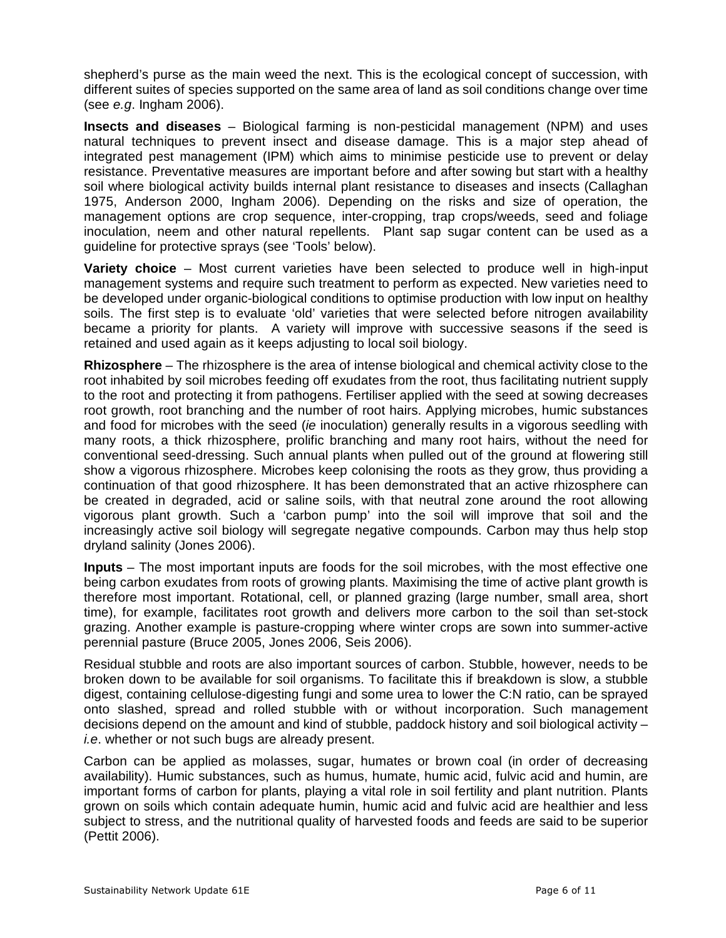shepherd's purse as the main weed the next. This is the ecological concept of succession, with different suites of species supported on the same area of land as soil conditions change over time (see e.g. Ingham 2006).

**Insects and diseases** – Biological farming is non-pesticidal management (NPM) and uses natural techniques to prevent insect and disease damage. This is a major step ahead of integrated pest management (IPM) which aims to minimise pesticide use to prevent or delay resistance. Preventative measures are important before and after sowing but start with a healthy soil where biological activity builds internal plant resistance to diseases and insects (Callaghan 1975, Anderson 2000, Ingham 2006). Depending on the risks and size of operation, the management options are crop sequence, inter-cropping, trap crops/weeds, seed and foliage inoculation, neem and other natural repellents. Plant sap sugar content can be used as a guideline for protective sprays (see 'Tools' below).

**Variety choice** – Most current varieties have been selected to produce well in high-input management systems and require such treatment to perform as expected. New varieties need to be developed under organic-biological conditions to optimise production with low input on healthy soils. The first step is to evaluate 'old' varieties that were selected before nitrogen availability became a priority for plants. A variety will improve with successive seasons if the seed is retained and used again as it keeps adjusting to local soil biology.

**Rhizosphere** – The rhizosphere is the area of intense biological and chemical activity close to the root inhabited by soil microbes feeding off exudates from the root, thus facilitating nutrient supply to the root and protecting it from pathogens. Fertiliser applied with the seed at sowing decreases root growth, root branching and the number of root hairs. Applying microbes, humic substances and food for microbes with the seed (ie inoculation) generally results in a vigorous seedling with many roots, a thick rhizosphere, prolific branching and many root hairs, without the need for conventional seed-dressing. Such annual plants when pulled out of the ground at flowering still show a vigorous rhizosphere. Microbes keep colonising the roots as they grow, thus providing a continuation of that good rhizosphere. It has been demonstrated that an active rhizosphere can be created in degraded, acid or saline soils, with that neutral zone around the root allowing vigorous plant growth. Such a 'carbon pump' into the soil will improve that soil and the increasingly active soil biology will segregate negative compounds. Carbon may thus help stop dryland salinity (Jones 2006).

**Inputs** – The most important inputs are foods for the soil microbes, with the most effective one being carbon exudates from roots of growing plants. Maximising the time of active plant growth is therefore most important. Rotational, cell, or planned grazing (large number, small area, short time), for example, facilitates root growth and delivers more carbon to the soil than set-stock grazing. Another example is pasture-cropping where winter crops are sown into summer-active perennial pasture (Bruce 2005, Jones 2006, Seis 2006).

Residual stubble and roots are also important sources of carbon. Stubble, however, needs to be broken down to be available for soil organisms. To facilitate this if breakdown is slow, a stubble digest, containing cellulose-digesting fungi and some urea to lower the C:N ratio, can be sprayed onto slashed, spread and rolled stubble with or without incorporation. Such management decisions depend on the amount and kind of stubble, paddock history and soil biological activity – i.e. whether or not such bugs are already present.

Carbon can be applied as molasses, sugar, humates or brown coal (in order of decreasing availability). Humic substances, such as humus, humate, humic acid, fulvic acid and humin, are important forms of carbon for plants, playing a vital role in soil fertility and plant nutrition. Plants grown on soils which contain adequate humin, humic acid and fulvic acid are healthier and less subject to stress, and the nutritional quality of harvested foods and feeds are said to be superior (Pettit 2006).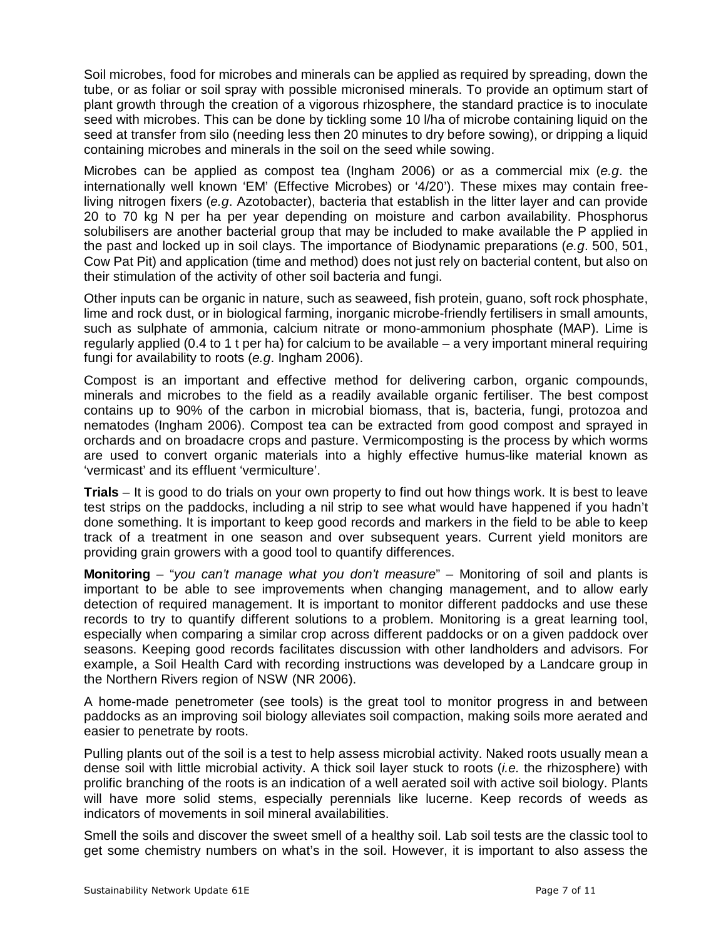Soil microbes, food for microbes and minerals can be applied as required by spreading, down the tube, or as foliar or soil spray with possible micronised minerals. To provide an optimum start of plant growth through the creation of a vigorous rhizosphere, the standard practice is to inoculate seed with microbes. This can be done by tickling some 10 l/ha of microbe containing liquid on the seed at transfer from silo (needing less then 20 minutes to dry before sowing), or dripping a liquid containing microbes and minerals in the soil on the seed while sowing.

Microbes can be applied as compost tea (Ingham 2006) or as a commercial mix (e.g. the internationally well known 'EM' (Effective Microbes) or '4/20'). These mixes may contain freeliving nitrogen fixers (e.g. Azotobacter), bacteria that establish in the litter layer and can provide 20 to 70 kg N per ha per year depending on moisture and carbon availability. Phosphorus solubilisers are another bacterial group that may be included to make available the P applied in the past and locked up in soil clays. The importance of Biodynamic preparations (e.g. 500, 501, Cow Pat Pit) and application (time and method) does not just rely on bacterial content, but also on their stimulation of the activity of other soil bacteria and fungi.

Other inputs can be organic in nature, such as seaweed, fish protein, guano, soft rock phosphate, lime and rock dust, or in biological farming, inorganic microbe-friendly fertilisers in small amounts, such as sulphate of ammonia, calcium nitrate or mono-ammonium phosphate (MAP). Lime is regularly applied (0.4 to 1 t per ha) for calcium to be available – a very important mineral requiring fungi for availability to roots (e.g. Ingham 2006).

Compost is an important and effective method for delivering carbon, organic compounds, minerals and microbes to the field as a readily available organic fertiliser. The best compost contains up to 90% of the carbon in microbial biomass, that is, bacteria, fungi, protozoa and nematodes (Ingham 2006). Compost tea can be extracted from good compost and sprayed in orchards and on broadacre crops and pasture. Vermicomposting is the process by which worms are used to convert organic materials into a highly effective humus-like material known as 'vermicast' and its effluent 'vermiculture'.

**Trials** – It is good to do trials on your own property to find out how things work. It is best to leave test strips on the paddocks, including a nil strip to see what would have happened if you hadn't done something. It is important to keep good records and markers in the field to be able to keep track of a treatment in one season and over subsequent years. Current yield monitors are providing grain growers with a good tool to quantify differences.

**Monitoring** – "you can't manage what you don't measure" – Monitoring of soil and plants is important to be able to see improvements when changing management, and to allow early detection of required management. It is important to monitor different paddocks and use these records to try to quantify different solutions to a problem. Monitoring is a great learning tool, especially when comparing a similar crop across different paddocks or on a given paddock over seasons. Keeping good records facilitates discussion with other landholders and advisors. For example, a Soil Health Card with recording instructions was developed by a Landcare group in the Northern Rivers region of NSW (NR 2006).

A home-made penetrometer (see tools) is the great tool to monitor progress in and between paddocks as an improving soil biology alleviates soil compaction, making soils more aerated and easier to penetrate by roots.

Pulling plants out of the soil is a test to help assess microbial activity. Naked roots usually mean a dense soil with little microbial activity. A thick soil layer stuck to roots (i.e. the rhizosphere) with prolific branching of the roots is an indication of a well aerated soil with active soil biology. Plants will have more solid stems, especially perennials like lucerne. Keep records of weeds as indicators of movements in soil mineral availabilities.

Smell the soils and discover the sweet smell of a healthy soil. Lab soil tests are the classic tool to get some chemistry numbers on what's in the soil. However, it is important to also assess the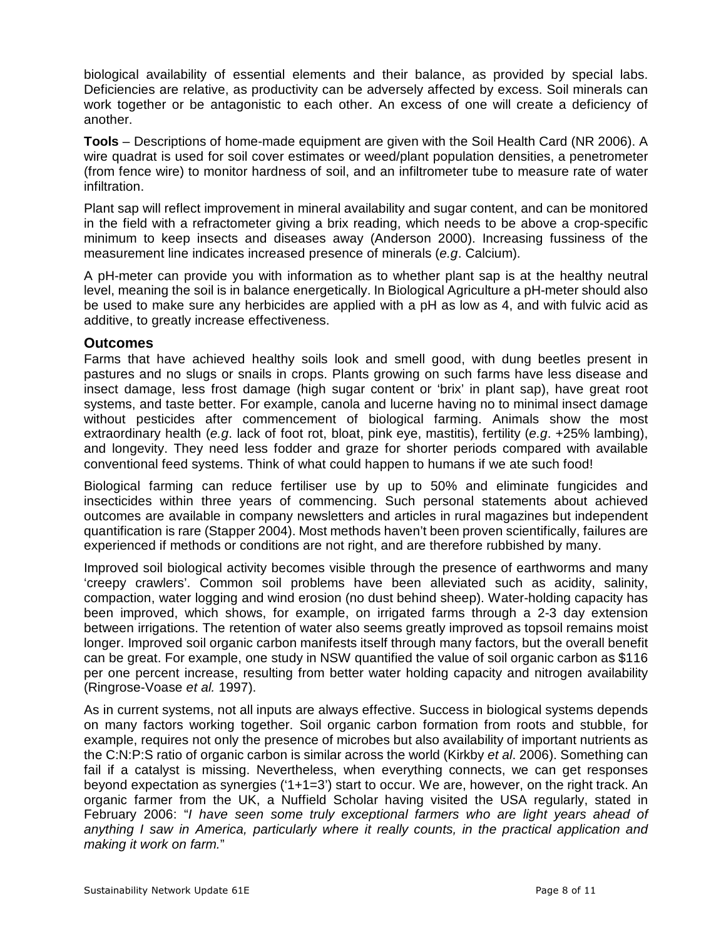biological availability of essential elements and their balance, as provided by special labs. Deficiencies are relative, as productivity can be adversely affected by excess. Soil minerals can work together or be antagonistic to each other. An excess of one will create a deficiency of another.

**Tools** – Descriptions of home-made equipment are given with the Soil Health Card (NR 2006). A wire quadrat is used for soil cover estimates or weed/plant population densities, a penetrometer (from fence wire) to monitor hardness of soil, and an infiltrometer tube to measure rate of water infiltration.

Plant sap will reflect improvement in mineral availability and sugar content, and can be monitored in the field with a refractometer giving a brix reading, which needs to be above a crop-specific minimum to keep insects and diseases away (Anderson 2000). Increasing fussiness of the measurement line indicates increased presence of minerals (e.g. Calcium).

A pH-meter can provide you with information as to whether plant sap is at the healthy neutral level, meaning the soil is in balance energetically. In Biological Agriculture a pH-meter should also be used to make sure any herbicides are applied with a pH as low as 4, and with fulvic acid as additive, to greatly increase effectiveness.

### **Outcomes**

Farms that have achieved healthy soils look and smell good, with dung beetles present in pastures and no slugs or snails in crops. Plants growing on such farms have less disease and insect damage, less frost damage (high sugar content or 'brix' in plant sap), have great root systems, and taste better. For example, canola and lucerne having no to minimal insect damage without pesticides after commencement of biological farming. Animals show the most extraordinary health (e.g. lack of foot rot, bloat, pink eye, mastitis), fertility (e.g. +25% lambing), and longevity. They need less fodder and graze for shorter periods compared with available conventional feed systems. Think of what could happen to humans if we ate such food!

Biological farming can reduce fertiliser use by up to 50% and eliminate fungicides and insecticides within three years of commencing. Such personal statements about achieved outcomes are available in company newsletters and articles in rural magazines but independent quantification is rare (Stapper 2004). Most methods haven't been proven scientifically, failures are experienced if methods or conditions are not right, and are therefore rubbished by many.

Improved soil biological activity becomes visible through the presence of earthworms and many 'creepy crawlers'. Common soil problems have been alleviated such as acidity, salinity, compaction, water logging and wind erosion (no dust behind sheep). Water-holding capacity has been improved, which shows, for example, on irrigated farms through a 2-3 day extension between irrigations. The retention of water also seems greatly improved as topsoil remains moist longer. Improved soil organic carbon manifests itself through many factors, but the overall benefit can be great. For example, one study in NSW quantified the value of soil organic carbon as \$116 per one percent increase, resulting from better water holding capacity and nitrogen availability (Ringrose-Voase et al. 1997).

As in current systems, not all inputs are always effective. Success in biological systems depends on many factors working together. Soil organic carbon formation from roots and stubble, for example, requires not only the presence of microbes but also availability of important nutrients as the C:N:P:S ratio of organic carbon is similar across the world (Kirkby et al. 2006). Something can fail if a catalyst is missing. Nevertheless, when everything connects, we can get responses beyond expectation as synergies ('1+1=3') start to occur. We are, however, on the right track. An organic farmer from the UK, a Nuffield Scholar having visited the USA regularly, stated in February 2006: "I have seen some truly exceptional farmers who are light years ahead of anything I saw in America, particularly where it really counts, in the practical application and making it work on farm."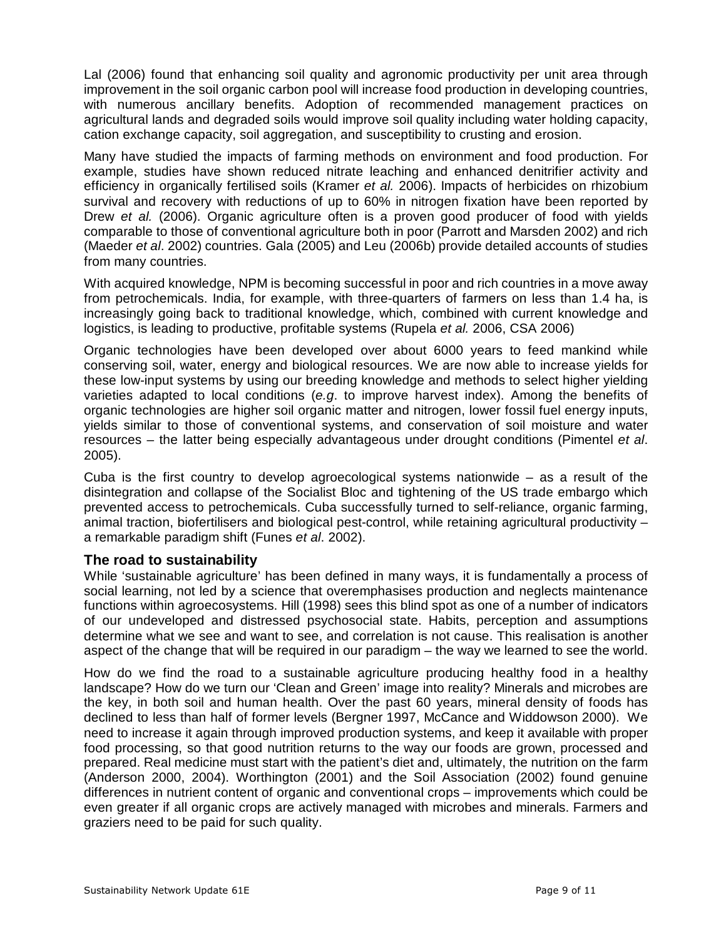Lal (2006) found that enhancing soil quality and agronomic productivity per unit area through improvement in the soil organic carbon pool will increase food production in developing countries, with numerous ancillary benefits. Adoption of recommended management practices on agricultural lands and degraded soils would improve soil quality including water holding capacity, cation exchange capacity, soil aggregation, and susceptibility to crusting and erosion.

Many have studied the impacts of farming methods on environment and food production. For example, studies have shown reduced nitrate leaching and enhanced denitrifier activity and efficiency in organically fertilised soils (Kramer et al. 2006). Impacts of herbicides on rhizobium survival and recovery with reductions of up to 60% in nitrogen fixation have been reported by Drew et al. (2006). Organic agriculture often is a proven good producer of food with yields comparable to those of conventional agriculture both in poor (Parrott and Marsden 2002) and rich (Maeder et al. 2002) countries. Gala (2005) and Leu (2006b) provide detailed accounts of studies from many countries.

With acquired knowledge, NPM is becoming successful in poor and rich countries in a move away from petrochemicals. India, for example, with three-quarters of farmers on less than 1.4 ha, is increasingly going back to traditional knowledge, which, combined with current knowledge and logistics, is leading to productive, profitable systems (Rupela et al. 2006, CSA 2006)

Organic technologies have been developed over about 6000 years to feed mankind while conserving soil, water, energy and biological resources. We are now able to increase yields for these low-input systems by using our breeding knowledge and methods to select higher yielding varieties adapted to local conditions (e.g. to improve harvest index). Among the benefits of organic technologies are higher soil organic matter and nitrogen, lower fossil fuel energy inputs, yields similar to those of conventional systems, and conservation of soil moisture and water resources – the latter being especially advantageous under drought conditions (Pimentel et al. 2005).

Cuba is the first country to develop agroecological systems nationwide – as a result of the disintegration and collapse of the Socialist Bloc and tightening of the US trade embargo which prevented access to petrochemicals. Cuba successfully turned to self-reliance, organic farming, animal traction, biofertilisers and biological pest-control, while retaining agricultural productivity – a remarkable paradigm shift (Funes et al. 2002).

#### **The road to sustainability**

While 'sustainable agriculture' has been defined in many ways, it is fundamentally a process of social learning, not led by a science that overemphasises production and neglects maintenance functions within agroecosystems. Hill (1998) sees this blind spot as one of a number of indicators of our undeveloped and distressed psychosocial state. Habits, perception and assumptions determine what we see and want to see, and correlation is not cause. This realisation is another aspect of the change that will be required in our paradigm – the way we learned to see the world.

How do we find the road to a sustainable agriculture producing healthy food in a healthy landscape? How do we turn our 'Clean and Green' image into reality? Minerals and microbes are the key, in both soil and human health. Over the past 60 years, mineral density of foods has declined to less than half of former levels (Bergner 1997, McCance and Widdowson 2000). We need to increase it again through improved production systems, and keep it available with proper food processing, so that good nutrition returns to the way our foods are grown, processed and prepared. Real medicine must start with the patient's diet and, ultimately, the nutrition on the farm (Anderson 2000, 2004). Worthington (2001) and the Soil Association (2002) found genuine differences in nutrient content of organic and conventional crops – improvements which could be even greater if all organic crops are actively managed with microbes and minerals. Farmers and graziers need to be paid for such quality.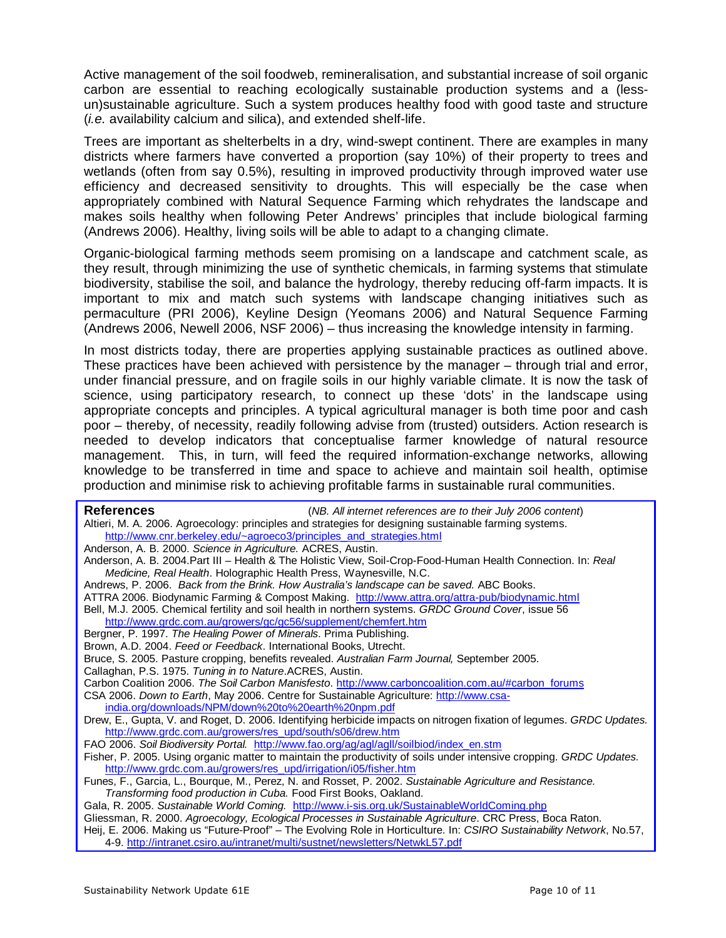Active management of the soil foodweb, remineralisation, and substantial increase of soil organic carbon are essential to reaching ecologically sustainable production systems and a (lessun)sustainable agriculture. Such a system produces healthy food with good taste and structure (i.e. availability calcium and silica), and extended shelf-life.

Trees are important as shelterbelts in a dry, wind-swept continent. There are examples in many districts where farmers have converted a proportion (say 10%) of their property to trees and wetlands (often from say 0.5%), resulting in improved productivity through improved water use efficiency and decreased sensitivity to droughts. This will especially be the case when appropriately combined with Natural Sequence Farming which rehydrates the landscape and makes soils healthy when following Peter Andrews' principles that include biological farming (Andrews 2006). Healthy, living soils will be able to adapt to a changing climate.

Organic-biological farming methods seem promising on a landscape and catchment scale, as they result, through minimizing the use of synthetic chemicals, in farming systems that stimulate biodiversity, stabilise the soil, and balance the hydrology, thereby reducing off-farm impacts. It is important to mix and match such systems with landscape changing initiatives such as permaculture (PRI 2006), Keyline Design (Yeomans 2006) and Natural Sequence Farming (Andrews 2006, Newell 2006, NSF 2006) – thus increasing the knowledge intensity in farming.

In most districts today, there are properties applying sustainable practices as outlined above. These practices have been achieved with persistence by the manager – through trial and error, under financial pressure, and on fragile soils in our highly variable climate. It is now the task of science, using participatory research, to connect up these 'dots' in the landscape using appropriate concepts and principles. A typical agricultural manager is both time poor and cash poor – thereby, of necessity, readily following advise from (trusted) outsiders. Action research is needed to develop indicators that conceptualise farmer knowledge of natural resource management. This, in turn, will feed the required information-exchange networks, allowing knowledge to be transferred in time and space to achieve and maintain soil health, optimise production and minimise risk to achieving profitable farms in sustainable rural communities.

| <b>References</b>                                                                                                     | (NB. All internet references are to their July 2006 content)                                           |
|-----------------------------------------------------------------------------------------------------------------------|--------------------------------------------------------------------------------------------------------|
|                                                                                                                       | Altieri, M. A. 2006. Agroecology: principles and strategies for designing sustainable farming systems. |
| http://www.cnr.berkeley.edu/~agroeco3/principles_and_strategies.html                                                  |                                                                                                        |
| Anderson, A. B. 2000. Science in Agriculture. ACRES, Austin.                                                          |                                                                                                        |
| Anderson, A. B. 2004.Part III - Health & The Holistic View, Soil-Crop-Food-Human Health Connection. In: Real          |                                                                                                        |
| Medicine, Real Health. Holographic Health Press, Waynesville, N.C.                                                    |                                                                                                        |
|                                                                                                                       | Andrews, P. 2006. Back from the Brink. How Australia's landscape can be saved. ABC Books.              |
|                                                                                                                       | ATTRA 2006. Biodynamic Farming & Compost Making. http://www.attra.org/attra-pub/biodynamic.html        |
| Bell, M.J. 2005. Chemical fertility and soil health in northern systems. GRDC Ground Cover, issue 56                  |                                                                                                        |
| http://www.grdc.com.au/growers/gc/gc56/supplement/chemfert.htm                                                        |                                                                                                        |
| Bergner, P. 1997. The Healing Power of Minerals. Prima Publishing.                                                    |                                                                                                        |
| Brown, A.D. 2004. Feed or Feedback. International Books, Utrecht.                                                     |                                                                                                        |
| Bruce, S. 2005. Pasture cropping, benefits revealed. Australian Farm Journal, September 2005.                         |                                                                                                        |
| Callaghan, P.S. 1975. Tuning in to Nature.ACRES, Austin.                                                              |                                                                                                        |
| Carbon Coalition 2006. The Soil Carbon Manisfesto. http://www.carboncoalition.com.au/#carbon forums                   |                                                                                                        |
| CSA 2006. Down to Earth, May 2006. Centre for Sustainable Agriculture: http://www.csa-                                |                                                                                                        |
| india.org/downloads/NPM/down%20to%20earth%20npm.pdf                                                                   |                                                                                                        |
| Drew, E., Gupta, V. and Roget, D. 2006. Identifying herbicide impacts on nitrogen fixation of legumes. GRDC Updates.  |                                                                                                        |
| http://www.grdc.com.au/growers/res_upd/south/s06/drew.htm                                                             |                                                                                                        |
|                                                                                                                       | FAO 2006. Soil Biodiversity Portal. http://www.fao.org/ag/agl/agll/soilbiod/index_en.stm               |
| Fisher, P. 2005. Using organic matter to maintain the productivity of soils under intensive cropping. GRDC Updates.   |                                                                                                        |
| http://www.grdc.com.au/growers/res_upd/irrigation/i05/fisher.htm                                                      |                                                                                                        |
| Funes, F., Garcia, L., Bourque, M., Perez, N. and Rosset, P. 2002. Sustainable Agriculture and Resistance.            |                                                                                                        |
| Transforming food production in Cuba. Food First Books, Oakland.                                                      |                                                                                                        |
| Gala, R. 2005. Sustainable World Coming. http://www.i-sis.org.uk/SustainableWorldComing.php                           |                                                                                                        |
| Gliessman, R. 2000. Agroecology, Ecological Processes in Sustainable Agriculture. CRC Press, Boca Raton.              |                                                                                                        |
| Heij, E. 2006. Making us "Future-Proof" - The Evolving Role in Horticulture. In: CSIRO Sustainability Network, No.57, |                                                                                                        |
|                                                                                                                       | 4-9. http://intranet.csiro.au/intranet/multi/sustnet/newsletters/NetwkL57.pdf                          |